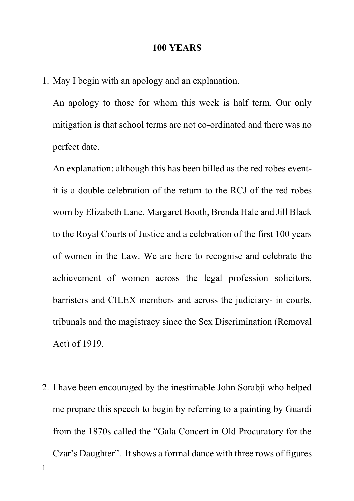## **100 YEARS**

1. May I begin with an apology and an explanation.

An apology to those for whom this week is half term. Our only mitigation is that school terms are not co-ordinated and there was no perfect date.

An explanation: although this has been billed as the red robes eventit is a double celebration of the return to the RCJ of the red robes worn by Elizabeth Lane, Margaret Booth, Brenda Hale and Jill Black to the Royal Courts of Justice and a celebration of the first 100 years of women in the Law. We are here to recognise and celebrate the achievement of women across the legal profession solicitors, barristers and CILEX members and across the judiciary- in courts, tribunals and the magistracy since the Sex Discrimination (Removal Act) of 1919.

1 2. I have been encouraged by the inestimable John Sorabji who helped me prepare this speech to begin by referring to a painting by Guardi from the 1870s called the "Gala Concert in Old Procuratory for the Czar's Daughter". It shows a formal dance with three rows of figures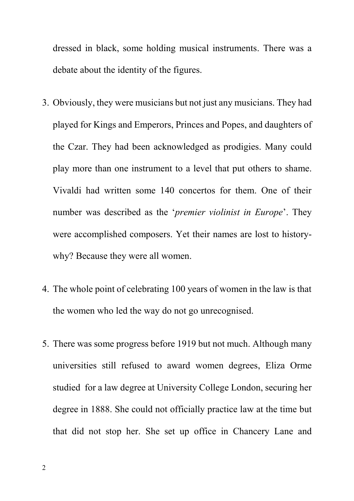dressed in black, some holding musical instruments. There was a debate about the identity of the figures.

- 3. Obviously, they were musicians but not just any musicians. They had played for Kings and Emperors, Princes and Popes, and daughters of the Czar. They had been acknowledged as prodigies. Many could play more than one instrument to a level that put others to shame. Vivaldi had written some 140 concertos for them. One of their number was described as the '*premier violinist in Europe*'. They were accomplished composers. Yet their names are lost to historywhy? Because they were all women.
- 4. The whole point of celebrating 100 years of women in the law is that the women who led the way do not go unrecognised.
- 5. There was some progress before 1919 but not much. Although many universities still refused to award women degrees, Eliza Orme studied for a law degree at University College London, securing her degree in 1888. She could not officially practice law at the time but that did not stop her. She set up office in Chancery Lane and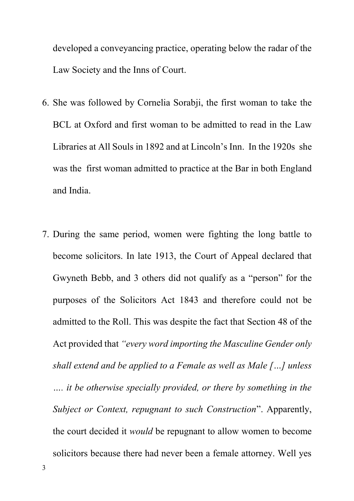developed a conveyancing practice, operating below the radar of the Law Society and the Inns of Court.

- 6. She was followed by Cornelia Sorabji, the first woman to take the BCL at Oxford and first woman to be admitted to read in the Law Libraries at All Souls in 1892 and at Lincoln's Inn. In the 1920s she was the first woman admitted to practice at the Bar in both England and India.
- 7. During the same period, women were fighting the long battle to become solicitors. In late 1913, the Court of Appeal declared that Gwyneth Bebb, and 3 others did not qualify as a "person" for the purposes of the Solicitors Act 1843 and therefore could not be admitted to the Roll. This was despite the fact that Section 48 of the Act provided that *"every word importing the Masculine Gender only shall extend and be applied to a Female as well as Male […] unless …. it be otherwise specially provided, or there by something in the Subject or Context, repugnant to such Construction*". Apparently, the court decided it *would* be repugnant to allow women to become solicitors because there had never been a female attorney. Well yes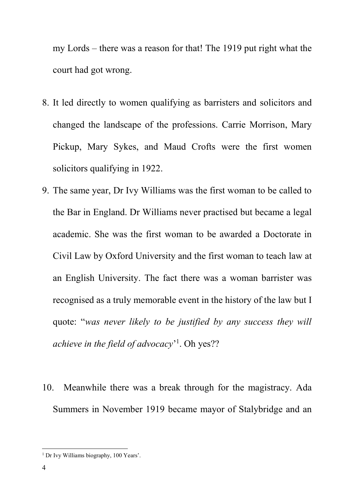my Lords – there was a reason for that! The 1919 put right what the court had got wrong.

- 8. It led directly to women qualifying as barristers and solicitors and changed the landscape of the professions. Carrie Morrison, Mary Pickup, Mary Sykes, and Maud Crofts were the first women solicitors qualifying in 1922.
- 9. The same year, Dr Ivy Williams was the first woman to be called to the Bar in England. Dr Williams never practised but became a legal academic. She was the first woman to be awarded a Doctorate in Civil Law by Oxford University and the first woman to teach law at an English University. The fact there was a woman barrister was recognised as a truly memorable event in the history of the law but I quote: "*was never likely to be justified by any success they will achieve in the field of advocacy*' 1 . Oh yes??
- 10. Meanwhile there was a break through for the magistracy. Ada Summers in November 1919 became mayor of Stalybridge and an

 $\overline{a}$ 

<sup>&</sup>lt;sup>1</sup> Dr Ivy Williams biography, 100 Years'.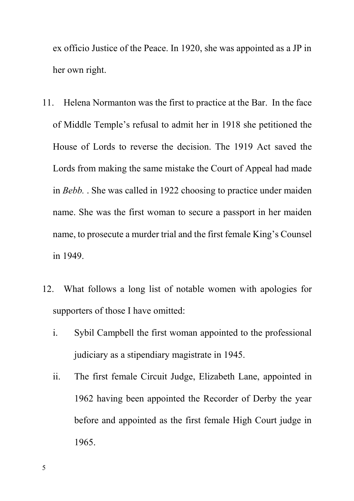ex officio Justice of the Peace. In 1920, she was appointed as a JP in her own right.

- 11. Helena Normanton was the first to practice at the Bar. In the face of Middle Temple's refusal to admit her in 1918 she petitioned the House of Lords to reverse the decision. The 1919 Act saved the Lords from making the same mistake the Court of Appeal had made in *Bebb.* . She was called in 1922 choosing to practice under maiden name. She was the first woman to secure a passport in her maiden name, to prosecute a murder trial and the first female King's Counsel in 1949.
- 12. What follows a long list of notable women with apologies for supporters of those I have omitted:
	- i. Sybil Campbell the first woman appointed to the professional judiciary as a stipendiary magistrate in 1945.
	- ii. The first female Circuit Judge, Elizabeth Lane, appointed in 1962 having been appointed the Recorder of Derby the year before and appointed as the first female High Court judge in 1965.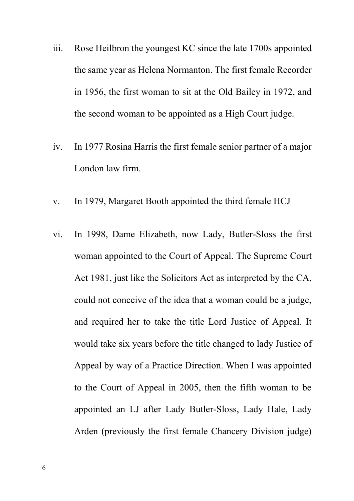- iii. Rose Heilbron the youngest KC since the late 1700s appointed the same year as Helena Normanton. The first female Recorder in 1956, the first woman to sit at the Old Bailey in 1972, and the second woman to be appointed as a High Court judge.
- iv. In 1977 Rosina Harris the first female senior partner of a major London law firm.
- v. In 1979, Margaret Booth appointed the third female HCJ
- vi. In 1998, Dame Elizabeth, now Lady, Butler-Sloss the first woman appointed to the Court of Appeal. The Supreme Court Act 1981, just like the Solicitors Act as interpreted by the CA, could not conceive of the idea that a woman could be a judge, and required her to take the title Lord Justice of Appeal. It would take six years before the title changed to lady Justice of Appeal by way of a Practice Direction. When I was appointed to the Court of Appeal in 2005, then the fifth woman to be appointed an LJ after Lady Butler-Sloss, Lady Hale, Lady Arden (previously the first female Chancery Division judge)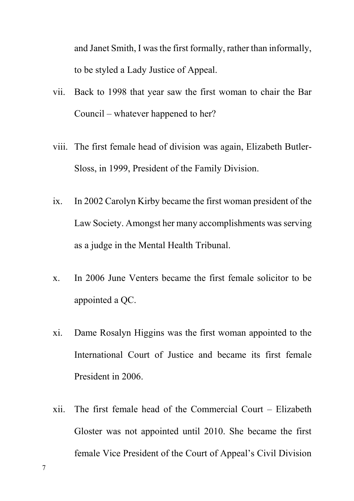and Janet Smith, I was the first formally, rather than informally, to be styled a Lady Justice of Appeal.

- vii. Back to 1998 that year saw the first woman to chair the Bar Council – whatever happened to her?
- viii. The first female head of division was again, Elizabeth Butler-Sloss, in 1999, President of the Family Division.
- ix. In 2002 Carolyn Kirby became the first woman president of the Law Society. Amongst her many accomplishments was serving as a judge in the Mental Health Tribunal.
- x. In 2006 June Venters became the first female solicitor to be appointed a QC.
- xi. Dame Rosalyn Higgins was the first woman appointed to the International Court of Justice and became its first female President in 2006.
- xii. The first female head of the Commercial Court Elizabeth Gloster was not appointed until 2010. She became the first female Vice President of the Court of Appeal's Civil Division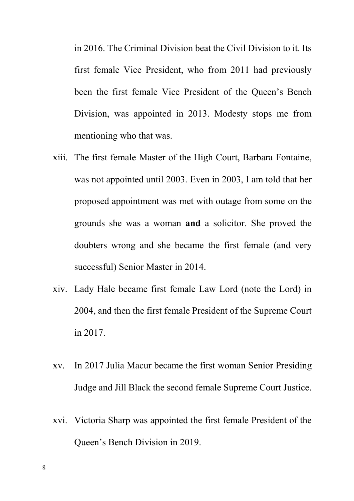in 2016. The Criminal Division beat the Civil Division to it. Its first female Vice President, who from 2011 had previously been the first female Vice President of the Queen's Bench Division, was appointed in 2013. Modesty stops me from mentioning who that was.

- xiii. The first female Master of the High Court, Barbara Fontaine, was not appointed until 2003. Even in 2003, I am told that her proposed appointment was met with outage from some on the grounds she was a woman **and** a solicitor. She proved the doubters wrong and she became the first female (and very successful) Senior Master in 2014.
- xiv. Lady Hale became first female Law Lord (note the Lord) in 2004, and then the first female President of the Supreme Court in 2017.
- xv. In 2017 Julia Macur became the first woman Senior Presiding Judge and Jill Black the second female Supreme Court Justice.
- xvi. Victoria Sharp was appointed the first female President of the Queen's Bench Division in 2019.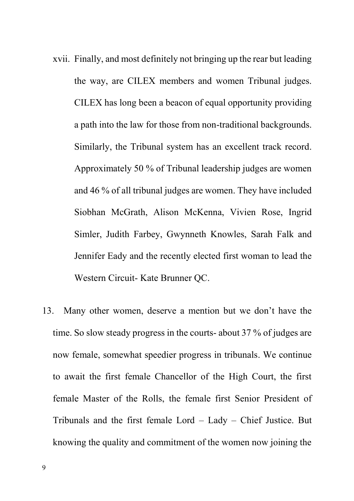- xvii. Finally, and most definitely not bringing up the rear but leading the way, are CILEX members and women Tribunal judges. CILEX has long been a beacon of equal opportunity providing a path into the law for those from non-traditional backgrounds. Similarly, the Tribunal system has an excellent track record. Approximately 50 % of Tribunal leadership judges are women and 46 % of all tribunal judges are women. They have included Siobhan McGrath, Alison McKenna, Vivien Rose, Ingrid Simler, Judith Farbey, Gwynneth Knowles, Sarah Falk and Jennifer Eady and the recently elected first woman to lead the Western Circuit- Kate Brunner QC.
- 13. Many other women, deserve a mention but we don't have the time. So slow steady progress in the courts- about 37 % of judges are now female, somewhat speedier progress in tribunals. We continue to await the first female Chancellor of the High Court, the first female Master of the Rolls, the female first Senior President of Tribunals and the first female Lord – Lady – Chief Justice. But knowing the quality and commitment of the women now joining the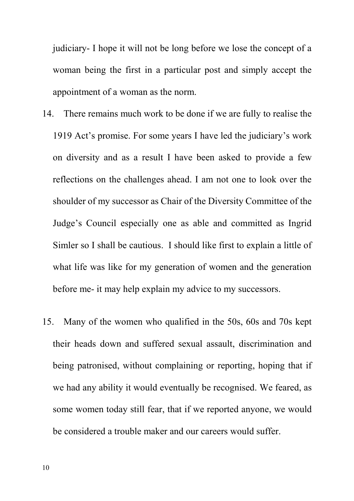judiciary- I hope it will not be long before we lose the concept of a woman being the first in a particular post and simply accept the appointment of a woman as the norm.

- 14. There remains much work to be done if we are fully to realise the 1919 Act's promise. For some years I have led the judiciary's work on diversity and as a result I have been asked to provide a few reflections on the challenges ahead. I am not one to look over the shoulder of my successor as Chair of the Diversity Committee of the Judge's Council especially one as able and committed as Ingrid Simler so I shall be cautious. I should like first to explain a little of what life was like for my generation of women and the generation before me- it may help explain my advice to my successors.
- 15. Many of the women who qualified in the 50s, 60s and 70s kept their heads down and suffered sexual assault, discrimination and being patronised, without complaining or reporting, hoping that if we had any ability it would eventually be recognised. We feared, as some women today still fear, that if we reported anyone, we would be considered a trouble maker and our careers would suffer.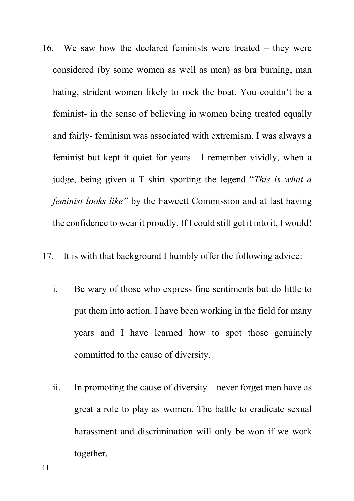16. We saw how the declared feminists were treated – they were considered (by some women as well as men) as bra burning, man hating, strident women likely to rock the boat. You couldn't be a feminist- in the sense of believing in women being treated equally and fairly- feminism was associated with extremism. I was always a feminist but kept it quiet for years. I remember vividly, when a judge, being given a T shirt sporting the legend "*This is what a feminist looks like"* by the Fawcett Commission and at last having the confidence to wear it proudly. If I could still get it into it, I would!

17. It is with that background I humbly offer the following advice:

- i. Be wary of those who express fine sentiments but do little to put them into action. I have been working in the field for many years and I have learned how to spot those genuinely committed to the cause of diversity.
- ii. In promoting the cause of diversity never forget men have as great a role to play as women. The battle to eradicate sexual harassment and discrimination will only be won if we work together.

11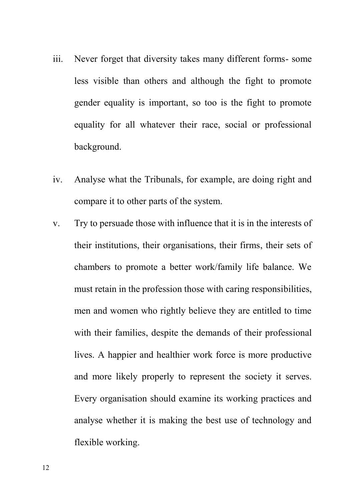- iii. Never forget that diversity takes many different forms- some less visible than others and although the fight to promote gender equality is important, so too is the fight to promote equality for all whatever their race, social or professional background.
- iv. Analyse what the Tribunals, for example, are doing right and compare it to other parts of the system.
- v. Try to persuade those with influence that it is in the interests of their institutions, their organisations, their firms, their sets of chambers to promote a better work/family life balance. We must retain in the profession those with caring responsibilities, men and women who rightly believe they are entitled to time with their families, despite the demands of their professional lives. A happier and healthier work force is more productive and more likely properly to represent the society it serves. Every organisation should examine its working practices and analyse whether it is making the best use of technology and flexible working.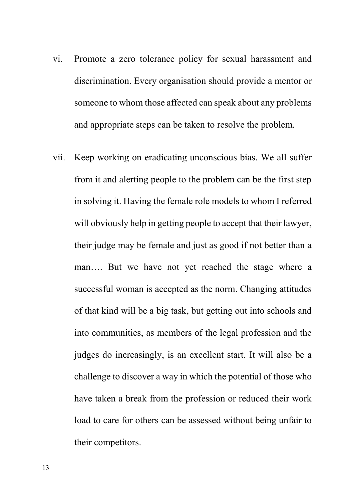- vi. Promote a zero tolerance policy for sexual harassment and discrimination. Every organisation should provide a mentor or someone to whom those affected can speak about any problems and appropriate steps can be taken to resolve the problem.
- vii. Keep working on eradicating unconscious bias. We all suffer from it and alerting people to the problem can be the first step in solving it. Having the female role models to whom I referred will obviously help in getting people to accept that their lawyer, their judge may be female and just as good if not better than a man…. But we have not yet reached the stage where a successful woman is accepted as the norm. Changing attitudes of that kind will be a big task, but getting out into schools and into communities, as members of the legal profession and the judges do increasingly, is an excellent start. It will also be a challenge to discover a way in which the potential of those who have taken a break from the profession or reduced their work load to care for others can be assessed without being unfair to their competitors.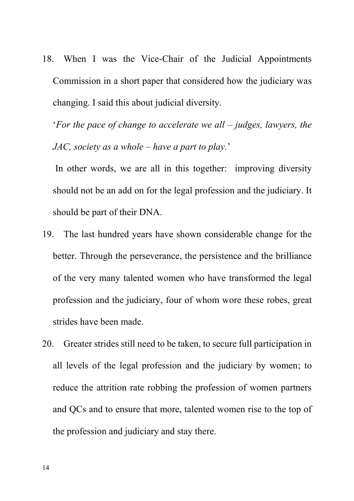18. When I was the Vice-Chair of the Judicial Appointments Commission in a short paper that considered how the judiciary was changing. I said this about judicial diversity.

'*For the pace of change to accelerate we all – judges, lawyers, the JAC, society as a whole – have a part to play.*'

In other words, we are all in this together: improving diversity should not be an add on for the legal profession and the judiciary. It should be part of their DNA.

- 19. The last hundred years have shown considerable change for the better. Through the perseverance, the persistence and the brilliance of the very many talented women who have transformed the legal profession and the judiciary, four of whom wore these robes, great strides have been made.
- 20. Greater strides still need to be taken, to secure full participation in all levels of the legal profession and the judiciary by women; to reduce the attrition rate robbing the profession of women partners and QCs and to ensure that more, talented women rise to the top of the profession and judiciary and stay there.